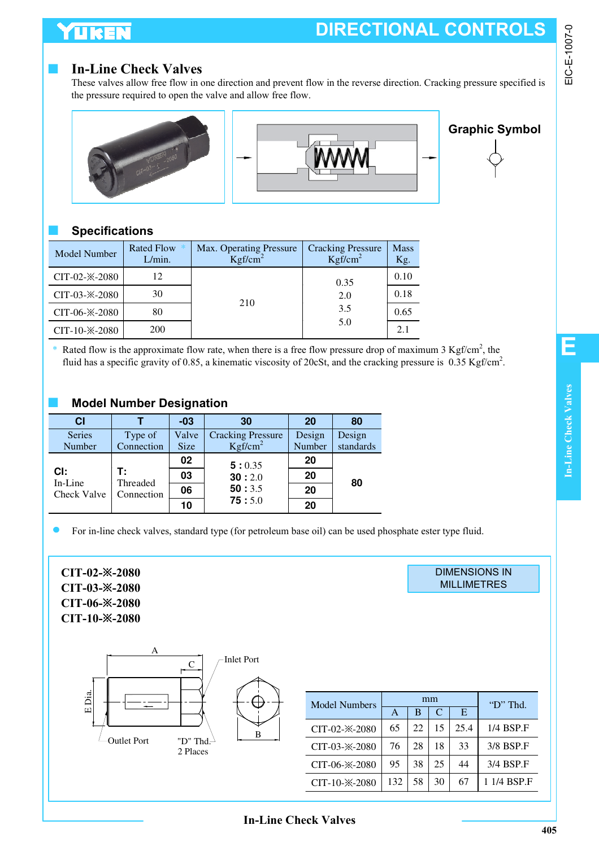### LIKEN

## **DIRECTIONAL CONTROLS**

#### **In-Line Check Valves**

These valves allow free flow in one direction and prevent flow in the reverse direction. Cracking pressure specified is the pressure required to open the valve and allow free flow.





# **Graphic Symbol**

#### ■ **Specifications**

| <b>Model Number</b>    | <b>Rated Flow</b><br>L/min. | Max. Operating Pressure<br>Kgf/cm <sup>2</sup> | <b>Cracking Pressure</b><br>Kgf/cm <sup>2</sup> | <b>Mass</b><br>Kg. |
|------------------------|-----------------------------|------------------------------------------------|-------------------------------------------------|--------------------|
| CIT-02- $\times$ -2080 | 12                          |                                                | 0.35                                            | 0.10               |
| CIT-03- $\times$ -2080 | 30                          | 210                                            | 2.0                                             | 0.18               |
| CIT-06- $\times$ -2080 | 80                          | 3.5                                            |                                                 | 0.65               |
| CIT-10- $\times$ -2080 | 200                         |                                                | 5.0                                             | 2.1                |

\* Rated flow is the approximate flow rate, when there is a free flow pressure drop of maximum 3 Kgf/cm<sup>2</sup>, the fluid has a specific gravity of 0.85, a kinematic viscosity of 20cSt, and the cracking pressure is  $0.35$  Kgf/cm<sup>2</sup>.

#### **Model Number Designation**

| <b>CI</b>          |                | $-03$       | 30                       | 20     | 80        |
|--------------------|----------------|-------------|--------------------------|--------|-----------|
| <b>Series</b>      | Type of        | Valve       | <b>Cracking Pressure</b> | Design | Design    |
| Number             | Connection     | <b>Size</b> | Kgf/cm <sup>2</sup>      | Number | standards |
|                    |                | 02          | 5:0.35                   | 20     |           |
| CI:<br>In-Line     | т:<br>Threaded | 03          | 30:2.0                   | 20     | 80        |
| <b>Check Valve</b> | Connection     | 06          | 50:3.5                   | 20     |           |
|                    |                | 10          | 75:5.0                   | 20     |           |

For in-line check valves, standard type (for petroleum base oil) can be used phosphate ester type fluid.

**CIT-02-**※**-2080 CIT-03-**※**-2080 CIT-06-**※**-2080 CIT-10-**※**-2080**



| mm  |    |    |      | "D" Thd.    |
|-----|----|----|------|-------------|
| A   | B  | C  | Е    |             |
| 65  | 22 | 15 | 25.4 | 1/4 BSP.F   |
| 76  | 28 | 18 | 33   | 3/8 BSP.F   |
| 95  | 38 | 25 | 44   | 3/4 BSP.F   |
| 132 | 58 | 30 | 67   | 1 1/4 BSP.F |
|     |    |    |      |             |

DIMENSIONS IN **MILLIMETRES** 

**In-Line Check Valves**

**E**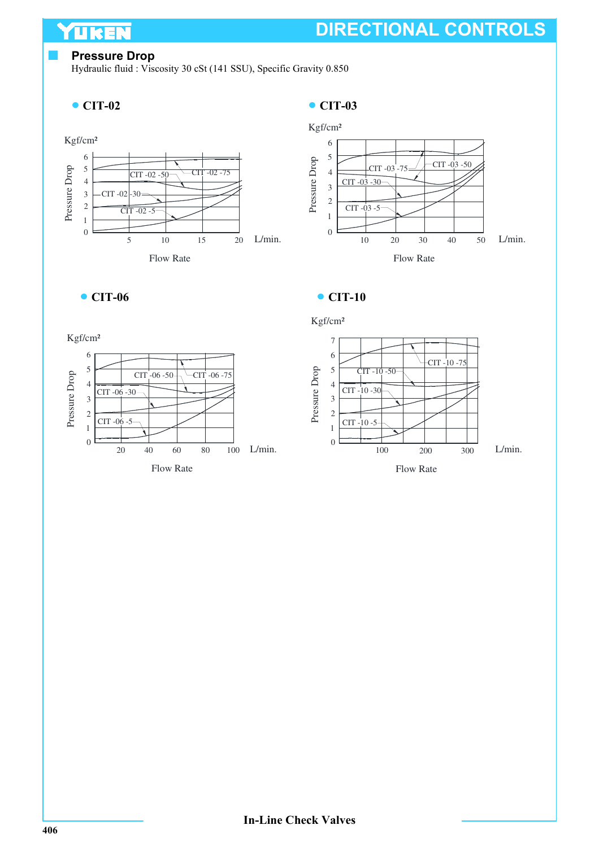#### **Pressure Drop**

UKEN

Hydraulic fluid : Viscosity 30 cSt (141 SSU), Specific Gravity 0.850

#### **CIT-02**









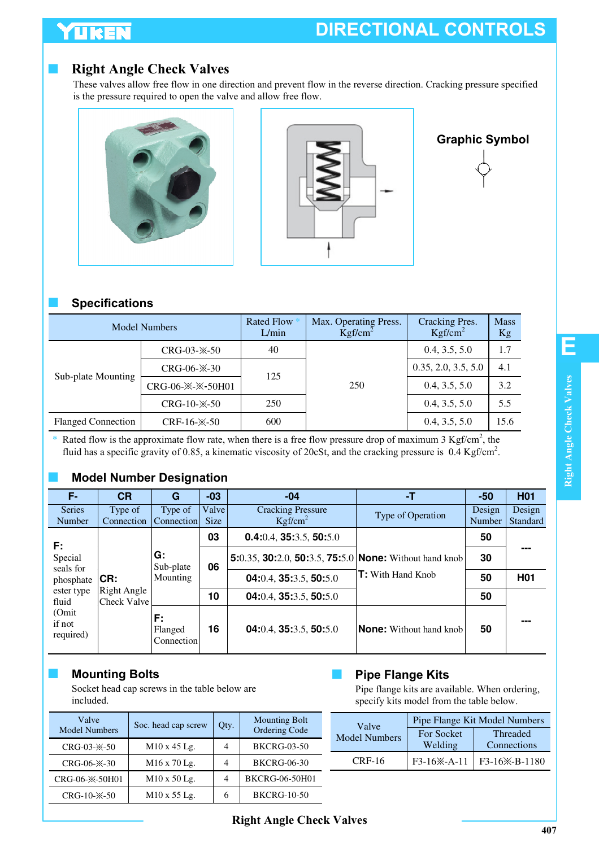### YUKEN

### **Right Angle Check Valves**

These valves allow free flow in one direction and prevent flow in the reverse direction. Cracking pressure specified is the pressure required to open the valve and allow free flow.





#### **Graphic Symbol**



#### ■ **Specifications**

| <b>Model Numbers</b>      |                                           | <b>Rated Flow</b><br>L/min | Max. Operating Press.<br>Kgf/cm <sup>2</sup> | Cracking Pres.<br>Kgf/cm <sup>2</sup> | <b>Mass</b><br>Kg |
|---------------------------|-------------------------------------------|----------------------------|----------------------------------------------|---------------------------------------|-------------------|
|                           | $CRG-03-X-50$                             |                            |                                              | 0.4, 3.5, 5.0                         | 1.7               |
| Sub-plate Mounting        | $CRG-06- X-30$                            | 125                        |                                              | 0.35, 2.0, 3.5, 5.0                   | 4.1               |
|                           | CRG-06- $\frac{1}{2}$ - $\frac{50H01}{2}$ |                            | 250                                          | 0.4, 3.5, 5.0                         | 3.2               |
| $CRG-10- X-50$            |                                           | 250                        |                                              | 0.4, 3.5, 5.0                         | 5.5               |
| <b>Flanged Connection</b> | CRF-16- $\times$ -50                      | 600                        |                                              | 0.4, 3.5, 5.0                         | 15.6              |

\* Rated flow is the approximate flow rate, when there is a free flow pressure drop of maximum 3 Kgf/cm<sup>2</sup>, the fluid has a specific gravity of 0.85, a kinematic viscosity of 20cSt, and the cracking pressure is 0.4 Kgf/cm<sup>2</sup>.

#### **Model Number Designation**

| F-                           | <b>CR</b>                  | G                           | $-03$                | $-04$                                                  | -T                            | $-50$                   | <b>H01</b>         |
|------------------------------|----------------------------|-----------------------------|----------------------|--------------------------------------------------------|-------------------------------|-------------------------|--------------------|
| <b>Series</b><br>Number      | Type of<br>Connection      | Type of<br>Connection       | Valve<br><b>Size</b> | <b>Cracking Pressure</b><br>Kgf/cm <sup>2</sup>        | Type of Operation             | Design<br><b>Number</b> | Design<br>Standard |
| F:                           |                            |                             | 03                   | $0.4:0.4$ , 35:3.5, 50:5.0                             |                               | 50                      |                    |
| Special<br>seals for         |                            | G:<br>Sub-plate             | 06                   | 5:0.35, 30:2.0, 50:3.5, 75:5.0 None: Without hand knob |                               | 30                      |                    |
| phosphate                    | CR:                        | Mounting                    |                      | 04:0.4, 35:3.5, 50:5.0                                 | $\mathsf{T}$ : With Hand Knob | 50                      | <b>H01</b>         |
| ester type<br>fluid          | Right Angle<br>Check Valve |                             | 10                   | 04:0.4, 35:3.5, 50:5.0                                 |                               | 50                      |                    |
| (Omit<br>if not<br>required) |                            | F:<br>Flanged<br>Connection | 16                   | 04:0.4, 35:3.5, 50:5.0                                 | None: Without hand knob       | 50                      |                    |

#### ■ **Mounting Bolts**

Socket head cap screws in the table below are included.

| Valve<br><b>Model Numbers</b> | Soc. head cap screw      | Qty. | <b>Mounting Bolt</b><br>Ordering Code |
|-------------------------------|--------------------------|------|---------------------------------------|
| $CRG-03- X-50$                | M10 x 45 Lg.             | 4    | <b>BKCRG-03-50</b>                    |
| $CRG-06 \times$ -30           | M <sub>16</sub> x 70 Lg. | 4    | <b>BKCRG-06-30</b>                    |
| CRG-06- $\frac{36}{2}$ -50H01 | M10 x 50 Lg.             | 4    | BKCRG-06-50H01                        |
| $CRG-10 \times$ -50           | M10 x 55 Lg.             | 6    | <b>BKCRG-10-50</b>                    |

#### **Pipe Flange Kits**

Pipe flange kits are available. When ordering, specify kits model from the table below.

| Valve                | Pipe Flange Kit Model Numbers |                            |  |  |
|----------------------|-------------------------------|----------------------------|--|--|
| <b>Model Numbers</b> | For Socket                    | Threaded                   |  |  |
|                      | Welding                       | Connections                |  |  |
| $CRF-16$             | F3-16 <sup>*</sup> -A-11      | F3-16 <sup>*</sup> -B-1180 |  |  |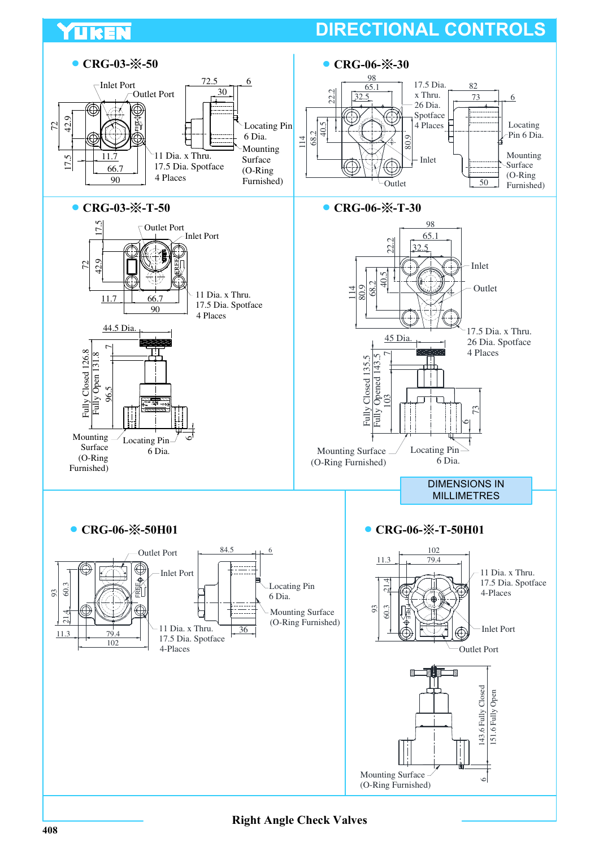

**Right Angle Check Valves**

TUREN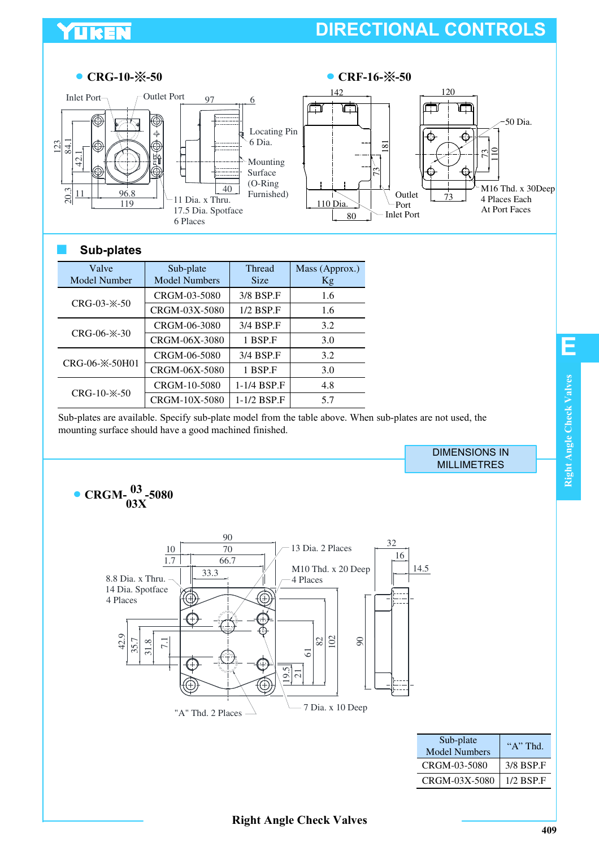### YUKEN

### **DIRECTIONAL CONTROLS**



#### ■ **Sub-plates**

| Valve<br>Model Number | Sub-plate<br><b>Model Numbers</b> | <b>Thread</b><br><b>Size</b> | Mass (Approx.)<br>Kg |
|-----------------------|-----------------------------------|------------------------------|----------------------|
|                       | CRGM-03-5080                      | 3/8 BSP.F                    | 1.6                  |
| $CRG-03- X-50$        | CRGM-03X-5080                     | $1/2$ BSP.F                  | 1.6                  |
|                       | CRGM-06-3080                      | 3/4 BSP.F                    | 3.2                  |
| CRG-06- $\times$ -30  | CRGM-06X-3080                     | 1 BSP.F                      | 3.0                  |
|                       | CRGM-06-5080                      | 3/4 BSP.F                    | 3.2                  |
| CRG-06-*-50H01        | CRGM-06X-5080                     | 1 BSP.F                      | 3.0                  |
|                       | CRGM-10-5080                      | 1-1/4 BSP.F                  | 4.8                  |
| $CRG-10- X-50$        | CRGM-10X-5080                     | 1-1/2 BSP.F                  | 5.7                  |

Sub-plates are available. Specify sub-plate model from the table above. When sub-plates are not used, the mounting surface should have a good machined finished.

> DIMENSIONS IN MILLIMETRES



**409**

**E**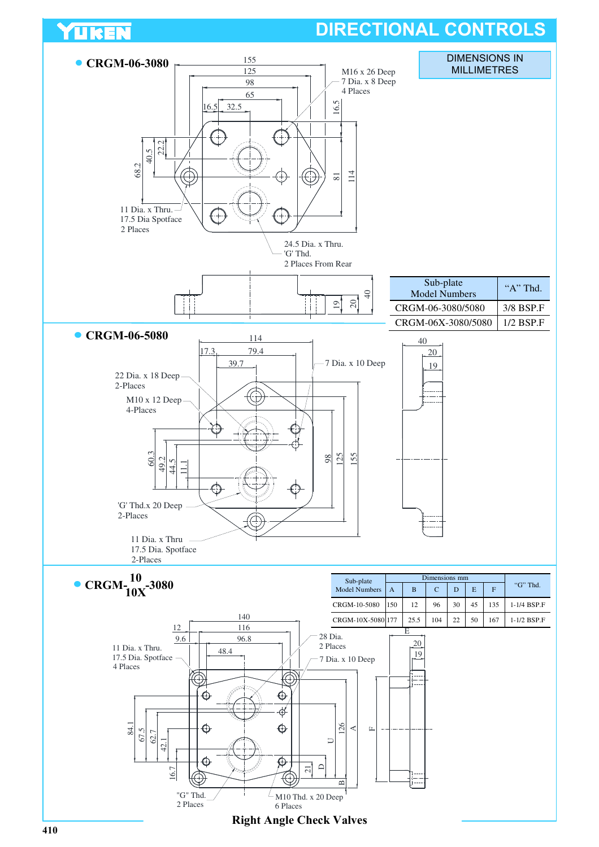### YUKEN

### **DIRECTIONAL CONTROLS**

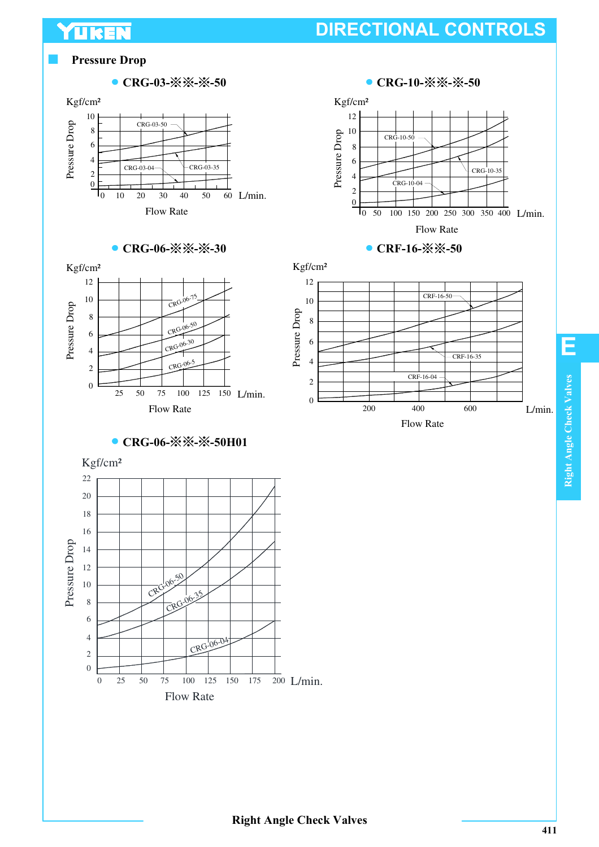#### **Pressure Drop**

YUKEN



#### ● CRG-06-※※-※-30



● CRG-06-※※-※-50H01





● CRF-16-※※-50



**E**